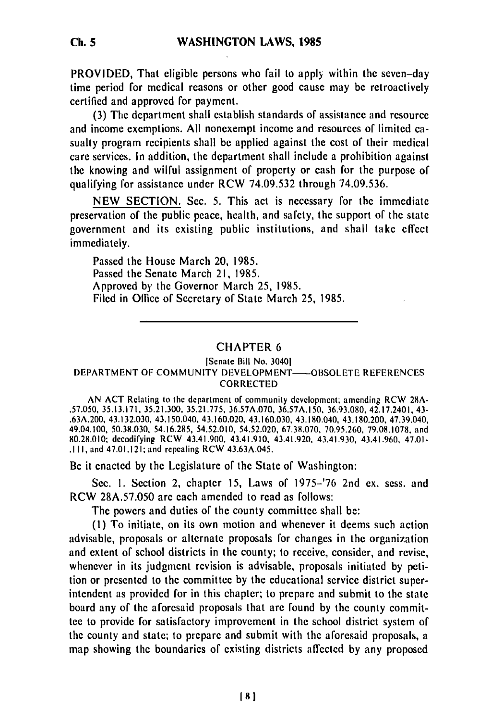PROVIDED, That eligible persons who fail to apply within the seven-day time period for medical reasons or other good cause may be retroactively certified and approved for payment.

(3) The department shall establish standards of assistance and resource and income exemptions. All nonexempt income and resources of limited casualty program recipients shall be applied against the cost of their medical care services. In addition, the department shall include a prohibition against the knowing and wilful assignment of property or cash for the purpose of qualifying for assistance under RCW 74.09.532 through 74.09.536.

NEW SECTION. Sec. 5. This act is necessary for the immediate preservation of the public peace, health, and safety, the support of the state government and its existing public institutions, and shall take effect immediately.

Passed the House March 20, 1985. Passed the Senate March 21, 1985. Approved by the Governor March 25, 1985. Filed in Office of Secretary of State March 25, 1985.

## CHAPTER 6

## [Senate Bill No. 30401 DEPARTMENT OF COMMUNITY DEVELOPMENT-OBSOLETE REFERENCES CORRECTED

AN ACT Relating to the department **of** community development; amending RCW 28A- .57.050, 35.13.171, 35.21.300. 35.21.775, 36.57A.070, 36.57A.150, 36.93.080, 42.17.2401, 43- .63A.200, 43.132.030, 43,150.040, 43.160.020, 43.160.030, 43.180.040, 43.180.200, 47.39.040, 49.04.100, 50.38.030, 54.16.285, 54.52.010, 54.52.020, 67.38.070, 70.95.260, 79.08.1078, and 80.28.010; decodifying RCW 43.41.900, 43.41.910, 43.41.920, 43.41.930, 43.41.960, 47.01- .111, and 47.01.121; and repealing RCW 43.63A.045.

Be it enacted by the Legislature of the State of Washington:

Sec. I. Section 2, chapter 15, Laws of 1975-'76 2nd ex. sess. and RCW 28A.57.050 are each amended to read as follows:

The powers and duties of the county committee shall be:

(I) To initiate, on its own motion and whenever it deems such action advisable, proposals or alternate proposals for changes in the organization and extent of school districts in the county; to receive, consider, and revise, whenever in its judgment revision is advisable, proposals initiated by petition or presented to the committee by the educational service district superintendent as provided for in this chapter; to prepare and submit to the state board any of the aforesaid proposals that are found by the county committee to provide for satisfactory improvement in the school district system of the county and state; to prepare and submit with the aforesaid proposals, a map showing the boundaries of existing districts affected by any proposed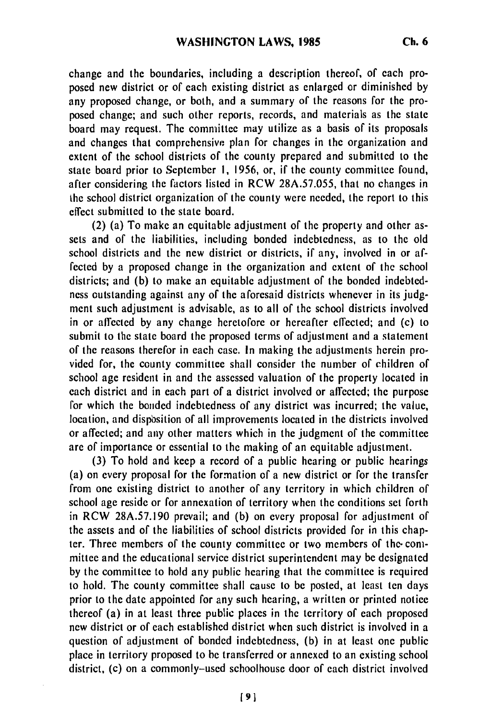change and the boundaries, including a description thereof, of each proposed new district or of each existing district as enlarged or diminished by any proposed change, or both, and a summary of the reasons for the proposed change; and such other reports, records, and materials as the state board may request. The committee may utilize as a basis of its proposals and changes that comprehensive plan for changes in the organization and extent of the school districts of the county prepared and submitted to the state board prior to September I, 1956, or, if the county committee found, after considering the factors listed in RCW 28A.57.055, that no changes in the school district organization of the county were needed, the report to this effect submitted to the state board.

(2) (a) To make an equitable adjustment of the property and other assets and of the liabilities, including bonded indebtedness, as to the old school districts and the new district or districts, if any, involved in or affected by a proposed change in the organization and extent of the school districts; and (b) to make an equitable adjustment of the bonded indebtedness outstanding against any of the aforesaid districts whenever in its judgment such adjustment is advisable, as to all of the school districts involved in or affected by any change heretofore or hereafter effected; and (c) to submit to the state board the proposed terms of adjustment and a statement of the reasons therefor in each case. In making the adjustments herein provided for, the county committee shall consider the number of children of school age resident in and the assessed valuation of the property located in each district and in each part of a district involved or affected; the purpose for which the bonded indebtedness of any district was incurred; the value, location, and dispbsition of all improvements located in the districts involved or affected; and any other matters which in the judgment of the committee are of importance or essential to the making of an equitable adjustment.

(3) To hold and keep a record of a public hearing or public hearings (a) on every proposal for the formation of a new district or for the transfer from one existing district to another of any territory in which children of school age reside or for annexation of territory when the conditions set forth in RCW 28A.57.190 prevail; and (b) on every proposal for adjustment of the assets and of the liabilities of school districts provided for in this chapter. Three members of the county committee or two members of the-committee and the educational service district superintendent may be designated by the committee to hold any public hearing that the committee is required to hold. The county committee shall cause to be posted, at least ten days prior to the date appointed for any such hearing, a written or printed notice thereof (a) in at least three public places in the territory of each proposed new district or of each established district when such district is involved in a question of adjustment of bonded indebtedness, (b) in at least one public place in territory proposed to be transferred or annexed to an existing school district, (c) on a commonly-used schoolhouse door of each district involved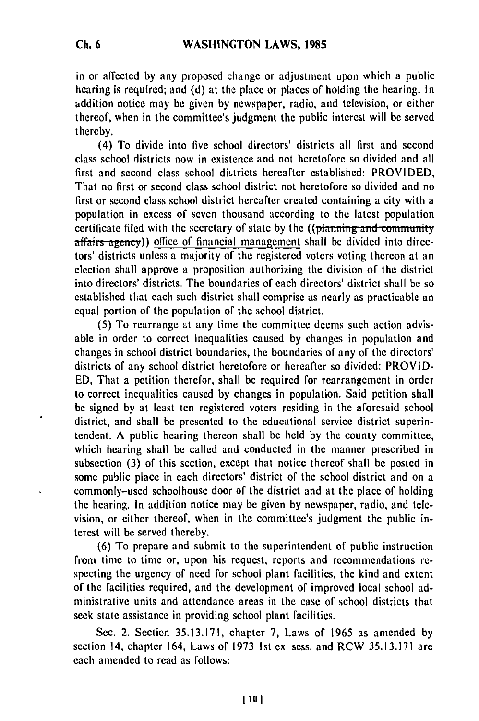in or affected by any proposed change or adjustment upon which a public hearing is required; and (d) at the place or places of holding the hearing. In addition notice may be given by newspaper, radio, and television, or either thereof, when in the committee's judgment the public interest will be served thereby.

(4) To divide into five school directors' districts all first and second class school districts now in existence and not heretofore so divided and all first and second class school districts hereafter established: PROVIDED, That no first or second class school district not heretofore so divided and no first or second class school district hereafter created containing a city with a population in excess of seven thousand according to the latest population certificate filed with the secretary of state by the ((planning and community affairs agency)) office of financial management shall be divided into directors' districts unless a majority of the registered voters voting thereon at an election shall approve a proposition authorizing the division of the district into directors' districts. The boundaries of each directors' district shall be so established that each such district shall comprise as nearly as practicable an equal portion of the population of the school district.

(5) To rearrange at any time the committee deems such action advisable in order to correct inequalities caused by changes in population and changes in school district boundaries, the boundaries of any of the directors' districts of any school district heretofore or hereafter so divided: PROVID-ED, That a petition therefor, shall be required for rearrangement in order to correct inequalities caused by changes in population. Said petition shall be signed by at least ten registered voters residing in the aforesaid school district, and shall be presented to the educational service district superintendent. A public hearing thereon shall be held by the county committee, which hearing shall be called and conducted in the manner prescribed in subsection (3) of this section, except that notice thereof shall be posted in some public place in each directors' district of the school district and on a commonly-used schoolhouse door of the district and at the place of holding the hearing. In addition notice may be given by newspaper, radio, and television, or either thereof, when in the committee's judgment the public interest will be served thereby.

(6) To prepare and submit to the superintendent of public instruction from time to time or, upon his request, reports and recommendations respecting the urgency of need for school plant facilities, the kind and extent of the facilities required, and the development of improved local school administrative units and attendance areas in the case of school districts that seek state assistance in providing school plant facilities.

Sec. 2. Section 35.13.171, chapter 7, Laws of 1965 as amended by section 14, chapter 164, Laws of 1973 1st ex. sess. and RCW 35.13.171 are each amended to read as follows: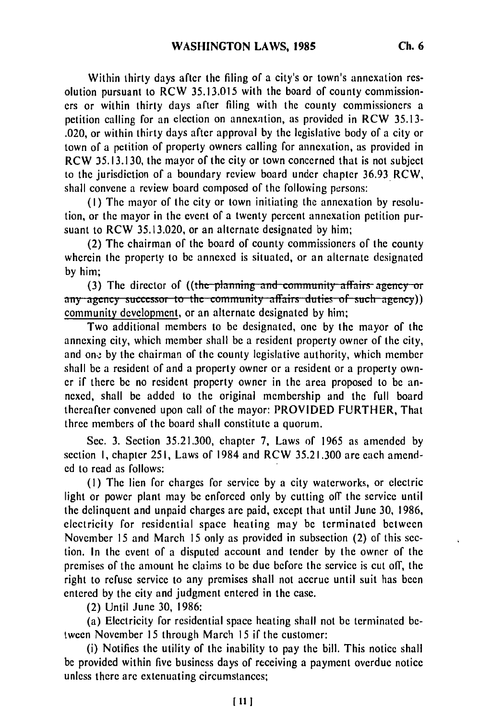Within thirty days after the filing of a city's or town's annexation resolution pursuant to RCW 35.13.015 with the board of county commissioners or within thirty days after filing with the county commissioners a petition calling for an election on annexation, as provided in RCW 35.13- .020, or within thirty days after approval by the legislative body of a city or town of a petition of property owners calling for annexation, as provided in RCW 35.13.130, the mayor of the city or town concerned that is not subject to the jurisdiction of a boundary review board under chapter 36.93 RCW, shall convene a review board composed of the following persons:

(I) The mayor of the city or town initiating the annexation by resolution, or the mayor in the evert of a twenty percent annexation petition pursuant to RCW 35.13.020, or an alternate designated by him;

(2) The chairman of the board of county commissioners of the county wherein the property to be annexed is situated, or an alternate designated by him;

(3) The director of ((the planning and community affairs agency or any agency successor to the community affairs duties of such agency)) community development, or an alternate designated by him;

Two additional members to be designated, one by the mayor of the annexing city, which member shall be a resident property owner of the city, and one by the chairman of the county legislative authority, which member shall be a resident of and a property owner or a resident or a property owner if there be no resident property owner in the area proposed to be annexed, shall be added to the original membership and the full board thereafter convened upon call of the mayor: PROVIDED FURTHER, That three members of the board shall constitute a quorum.

Sec. 3. Section 35.21.300, chapter 7, Laws of 1965 as amended by section I, chapter **251,** Laws of 1984 and RCW 35.21.300 are each amended to read as follows:

(I) The lien for charges for service by a city waterworks, or electric light or power plant may be enforced only by cutting off the service until the delinquent and unpaid charges are paid, except that until June 30, 1986, electricity for residential space heating may be terminated between November 15 and March 15 only as provided in subsection (2) of this section. In the event of a disputed account and tender by the owner of the premises of the amount he claims to be due before the service is cut off, the right to refuse service to any premises shall not accrue until suit has been entered by the city and judgment entered in the case.

(2) Until June 30, 1986:

(a) Electricity for residential space heating shall not be terminated between November 15 through March 15 if the customer:

(i) Notifies the utility of the inability to pay the bill. This notice shall be provided within five business days of receiving a payment overdue notice unless there are extenuating circumstances;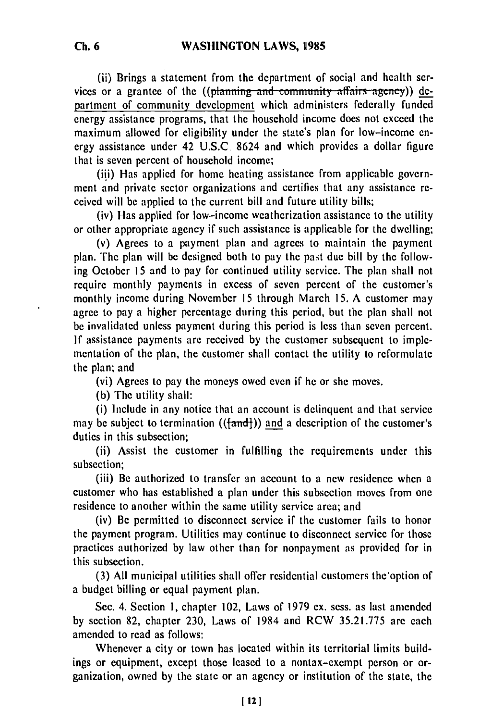(ii) Brings a statement from the department of social and health services or a grantee of the ((planning and community affairs agency)) department of community development which administers federally funded energy assistance programs, that the household income does not exceed the maximum allowed for eligibility under the state's plan for low-income energy assistance under 42 U.S.C 8624 and which provides a dollar figure that is seven percent of household income;

(iii) Has applied for home heating assistance from applicable government and private sector organizations and certifies that any assistance received will be applied to the current bill and future utility bills;

(iv) Has applied for low-income weatherization assistance to the utility or other appropriate agency if such assistance is applicable for the dwelling;

(v) Agrees to a payment plan and agrees to maintain the payment plan. The plan will be designed both to pay the past due bill by the following October 15 and to pay for continued utility service. The plan shall not require monthly payments in excess of seven percent of the customer's monthly income during November 15 through March 15. A customer may agree to pay a higher percentage during this period, but the plan shall not be invalidated unless payment during this period is less than seven percent. If assistance payments are received by the customer subsequent to implementation of the plan, the customer shall contact the utility to reformulate the plan; and

(vi) Agrees to pay the moneys owed even if he or she moves.

(b) The utility shall:

(i) Include in any notice that an account is delinquent and that service may be subject to termination  $((\text{fand})$ ) and a description of the customer's duties in this subsection;

(ii) Assist the customer in fulfilling the requirements under this subsection;

(iii) Be authorized to transfer an account to a new residence when a customer who has established a plan under this subsection moves from one residence to another within the same utility service area; and

(iv) Be permitted to disconnect service if the customer fails to honor the payment program. Utilities may continue to disconnect service for those practices authorized by law other than for nonpayment as provided for in this subsection.

**(3)** All municipal utilities shall offer residential customers the'option of a budget billing or equal payment plan.

Sec. 4. Section I, chapter 102, Laws of 1979 ex. sess. as last amended by section 82, chapter 230, Laws of 1984 and RCW 35.21.775 are each amended to read as follows:

Whenever a city or town has located within its territorial limits buildings or equipment, except those leased to a nontax-exempt person or organization, owned by the state or an agency or institution of the state, the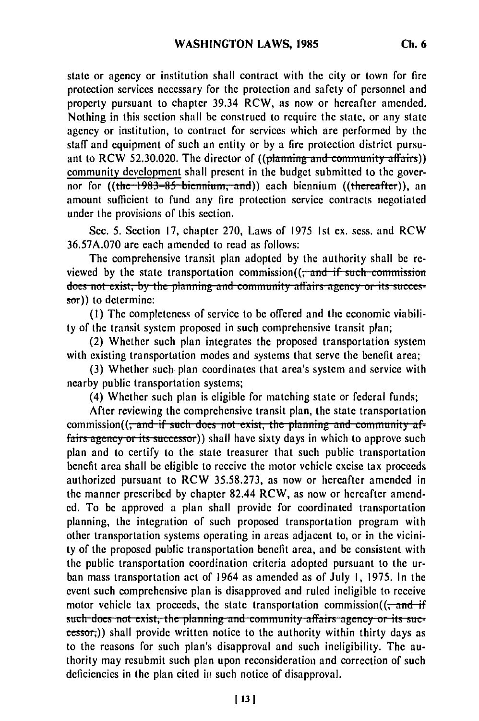state or agency or institution shall contract with the city or town for fire protection services necessary for the protection and safety of personnel and property pursuant to chapter 39.34 RCW, as now or hereafter amended. Nothing in this section shall be construed to require the state, or any state agency or institution, to contract for services which are performed by the staff and equipment of such an entity or by a fire protection district pursuant to RCW 52.30.020. The director of ((planning and community affairs)) community development shall present in the budget submitted to the governor for ((the 1983–85 biennium, and)) each biennium ((thereafter)), an amount sufficient to fund any fire protection service contracts negotiated under the provisions of this section.

Sec. 5. Section 17, chapter 270, Laws of 1975 Ist ex. sess. and RCW 36.57A.070 are each amended to read as follows:

The comprehensive transit plan adopted by the authority shall be reviewed by the state transportation commission((<del>, and if such commission</del>) does not exist, by the planning and community affairs agency or its succes**sor))** to determine:

**(1)** The completeness of service to be offered and the economic viability of the transit system proposed in such comprehensive transit plan;

(2) Whether such plan integrates the proposed transportation system with existing transportation modes and systems that serve the benefit area;

(3) Whether such plan coordinates that area's system and service with nearby public transportation systems;

(4) Whether such plan is eligible for matching state or federal funds;

After reviewing the comprehensive transit plan, the state transportation commission((<del>, and if such does not exist, the planning and community af-</del> fairs agency or its successor)) shall have sixty days in which to approve such plan and to certify to the state treasurer that such public transportation benefit area shall be eligible to receive the motor vehicle excise tax proceeds authorized pursuant to RCW 35.58.273, as now or hereafter amended in the manner prescribed by chapter 82.44 RCW, as now or hereafter amended. To be approved a plan shall provide for coordinated transportation planning, the integration of such proposed transportation program with other transportation systems operating in areas adjacent to, or in the vicinity of the proposed public transportation benefit area, and be consistent with the public transportation coordination criteria adopted pursuant to the urban mass transportation act of 1964 as amended as of July **I,** 1975. In the event such comprehensive plan is disapproved and ruled ineligible to receive motor vehicle tax proceeds, the state transportation commission( $\frac{1}{2}$ such does not exist, the planning and community affairs agency or its successor;)) shall provide written notice to the authority within thirty days as to the reasons for such plan's disapproval and such ineligibility. The authority may resubmit such plan upon reconsideration and correction of such deficiencies in the plan cited in such notice of disapproval.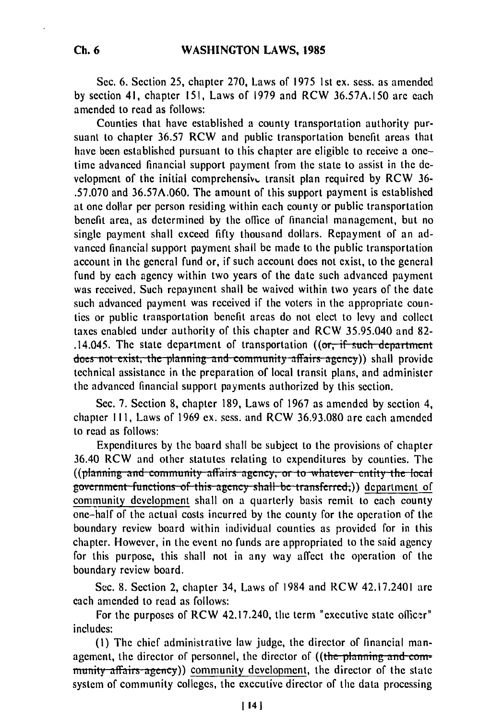Sec. 6. Section 25, chapter 270, Laws of 1975 1st ex. sess. as amended by section 41, chapter 151, Laws of 1979 and RCW 36.57A.150 are each amended to read as follows:

Counties that have established a county transportation authority pursuant to chapter 36.57 RCW and public transportation benefit areas that have been established pursuant to this chapter are eligible to receive a onetime advanced financial support payment from the state to assist in the development of the initial comprehensive transit plan required by RCW 36-.57.070 and 36.57A.060. The amount of this support payment is established at one dollar per person residing within each county or public transportation benefit area, as determined by the office of financial management, but no single payment shall exceed fifty thousand dollars. Repayment of an advanced financial support payment shall be made to the public transportation account in the general fund or, if such account does not exist, to the general fund by each agency within two years of the date such advanced payment was received. Such repayment shall be waived within two years of the date such advanced payment was received if the voters in the appropriate counties or public transportation benefit areas do not elect to levy and collect taxes enabled under authority of this chapter and RCW 35.95.040 and 82- .14.045. The state department of transportation  $(6\sigma, if such department$ does not exist, the planning and community affairs agency)) shall provide technical assistance in the preparation of local transit plans, and administer the advanced financial support payments authorized by this section.

Sec. 7. Section 8, chapter 189, Laws of 1967 as amended by section 4, chapter **111,** Laws of 1969 ex. sess. and RCW 36.93.080 are each amended to read as follows:

Expenditures by the board shall be subject to the provisions of chapter 36.40 RCW and other statutes relating to expenditures by counties. The (plaining and community amails agency, or to whatever entity the local<br>overnment functions of this agency shall be transferred.)) department of community development shall on a quarterly basis remit to each county one-half of the actual costs incurred by the county for the operation of the boundary review board within individual counties as provided for in this chapter. However, in the event no funds are appropriated to the said agency for this purpose, this shall not in any way affect the operation of the boundary review board.

Sec. 8. Section 2, chapter 34, Laws of 1984 and RCW 42.17.2401 are each amended to read as follows:

For the purposes of RCW 42.17.240, the term "executive state officer" includes:

**(1)** The chief administrative law judge, the director of financial management, the director of personnel, the director of  $((the *planning* and *com*$ munity affairs agency)) community development, the director of the state system of community colleges, the executive director of the data processing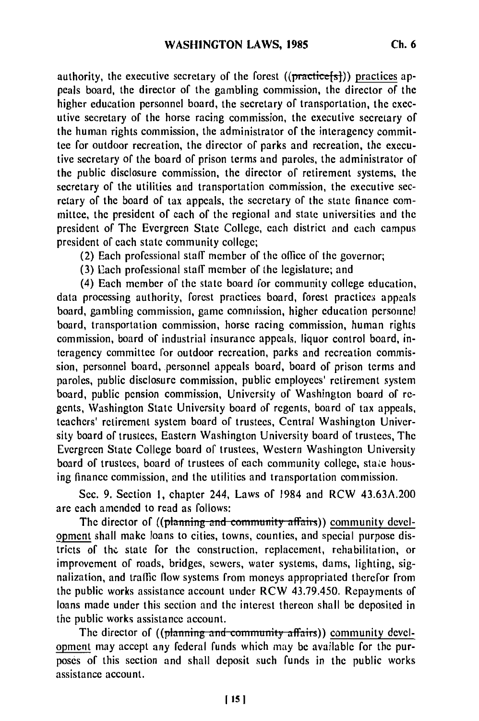authority, the executive secretary of the forest  $((practive[s]))$  practices appeals board, the director of the gambling commission, the director of the higher education personnel board, the secretary of transportation, the executive secretary of the horse racing commission, the executive secretary of the human rights commission, the administrator of the interagency committee for outdoor recreation, the director of parks and recreation, the executive secretary of the board of prison terms and paroles, the administrator of the public disclosure commission, the director of retirement systems, the secretary of the utilities and transportation commission, the executive secretary of the board of tax appeals, the secretary of the state finance committee, the president of each of the regional and state universities and the president of The Evergreen State College, each district and each campus

president of each state community college; (2) Each professional staff member of the office of the governor;

(3) Each professional staff member of the legislature; and

(4) Each member of the state board for community college education, data processing authority, forest practices board, forest practices appeals board, gambling commission, game commission, higher education personnel board, transportation commission, horse racing commission, human rights commission, board of industrial insurance appeals, liquor control board, interagency committee for outdoor recreation, parks and recreation commission, personnel board, personnel appeals board, board of prison terms and paroles, public disclosure commission, public employees' retirement system board, public pension commission, University of Washington board of regents, Washington State University board of regents, board of tax appeals, teachers' retirement system board of trustees, Central Washington University board of trustees, Eastern Washington University board of trustees, The Evergreen State College board of trustees, Western Washington University board of trustees, board of trustees of each community college, state housing finance commission, and the utilities and transportation commission.

Sec. 9. Section **1,** chapter 244, Laws of 1984 and RCW 43.63A.200 are each amended to read as follows:

The director of ((planning and community affairs)) community development shall make loans to cities, towns, counties, and special purpose districts of thc. state for the construction, replacement, rehabilitation, or improvement of roads, bridges, sewers, water systems, dams, lighting, signalization, and traffic flow systems from moneys appropriated therefor from the public works assistance account under RCW 43.79.450. Repayments of loans made under this section and the interest thereon shall be deposited in the public works assistance account.

The director of ((planning and community affairs)) community development may accept any federal funds which may be available for the purposes of this section and shall deposit such funds in the public works assistance account.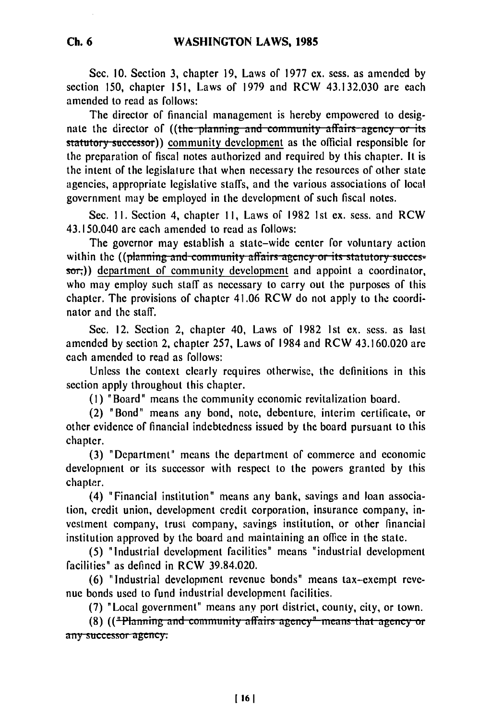Sec. **10.** Section 3, chapter 19, Laws of **1977** ex. sess. as amended **by** section 150, chapter 151, Laws of 1979 and RCW 43.132.030 are each amended to read as follows:

The director of financial management is hereby empowered to designate the director of ((the planning and community affairs agency or its **statutory successor))** community development as the official responsible for the preparation of fiscal notes authorized and required by this chapter. It is the intent of the legislature that when necessary the resources of other state agencies, appropriate legislative staffs, and the various associations of local government may be employed in the development of such fiscal notes.

Sec. **!1.** Section 4, chapter **11,** Laws of 1982 1st ex. sess. and RCW 43.150.040 are each amended to read as follows:

The governor may establish a state-wide center for voluntary action within the ((planning and community affairs agency or its statutory succes $s$ o $\tau$ )) department of community development and appoint a coordinator, who may employ such staff as necessary to carry out the purposes of this chapter. The provisions of chapter 41.06 RCW do not apply to the coordinator and the staff.

Sec. 12. Section 2, chapter 40, Laws of 1982 Ist ex. sess. as last amended by section 2, chapter 257, Laws of 1984 and RCW 43.160.020 are each amended to read as follows:

Unless the context clearly requires otherwise, the definitions in this section apply throughout this chapter.

(1) "Board" means the community economic revitalization board.

(2) "Bond" means any bond, note, debenture, interim certificate, or other evidence of financial indebtedness issued by the board pursuant to this chapter.

(3) "Department" means the department of commerce and economic development or its successor with respect to the powers granted by this chapter.

(4) "Financial institution" means any bank, savings and loan association, credit union, development credit corporation, insurance company, investment company, trust company, savings institution, or other financial institution approved by the board and maintaining an office in the state.

(5) "Industrial development facilities" means "industrial development facilities" as defined in RCW 39.84.020.

(6) "Industrial development revenue bonds" means tax-exempt revenue bonds used to fund industrial development facilities.

onds used to rund measurial development facilities.<br>(7) "Local government" means any port district, county, city, or town.<br>(8) (("Planning and community affairs agency" means that agency or

(8) ( $\left(\frac{4 \text{Planning and community affairs agency}^*}{4 \text{terms, therefore, or}}\right)$  any successor-agency.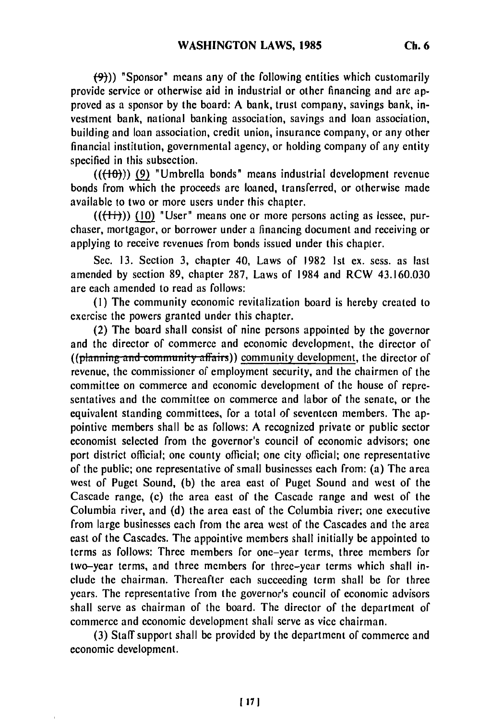$(9)$ )) "Sponsor" means any of the following entities which customarily provide service or otherwise aid in industrial or other financing and are approved as a sponsor by the board: A bank, trust company, savings bank, investment bank, national banking association, savings and loan association, building and loan association, credit union, insurance company, or any other financial institution, governmental agency, or holding company of any entity specified in this subsection.

 $((+10))$  (9) "Umbrella bonds" means industrial development revenue bonds from which the proceeds are loaned, transferred, or otherwise made available to two or more users under this chapter.

 $((\{\dagger\})$  (10) "User" means one or more persons acting as lessee, purchaser, mortgagor, or borrower under a financing document and receiving or applying to receive revenues from bonds issued under this chapter.

Sec. 13. Section 3, chapter 40, Laws of 1982 1st ex. sess. as last amended by section 89, chapter 287, Laws of 1984 and RCW 43.160.030 are each amended to read as follows:

(I) The community economic revitalization board is hereby created to exercise the powers granted under this chapter.

(2) The board shall consist of nine persons appointed by the governor and the director of commerce and economic development, the director of ((planning and community affairs)) community development, the director of revenue, the commissioner of employment security, and the chairmen of the committee on commerce and economic development of the house of representatives and the committee on commerce and labor of the senate, or the equivalent standing committees, for a total of seventeen members. The appointive members shall be as follows: A recognized private or public sector economist selected from the governor's council of economic advisors; one port district official; one county official; one city official; one representative of the public; one representative of small businesses each from: (a) The area west of Puget Sound, (b) the area east of Puget Sound and west of the Cascade range, (c) the area east of the Cascade range and west of the Columbia river, and (d) the area east of the Columbia river; one executive from large businesses each from the area west of the Cascades and the area east of the Cascades. The appointive members shall initially be appointed to terms as follows: Three members for one-year terms, three members for two-year terms, and three members for three-year terms which shall include the chairman. Thereafter each succeeding term shall be for three years. The representative from the governor's council of economic advisors shall serve as chairman of the board. The director of the department of commerce and economic development shall serve as vice chairman.

(3) Staff support shall be provided by the department of commerce and economic development.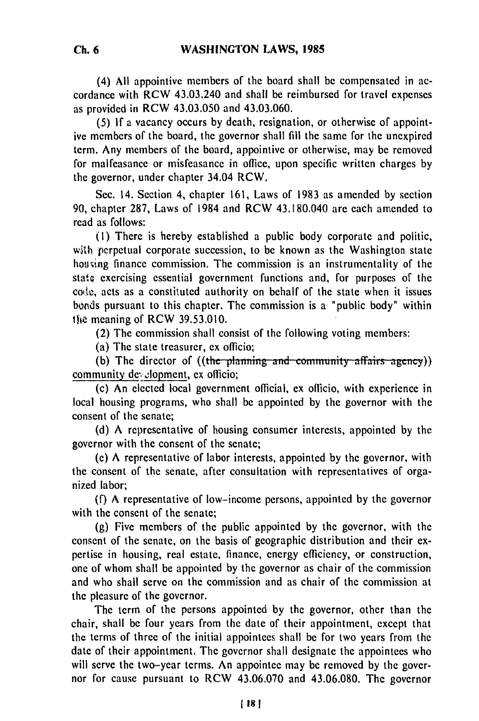(4) All appointive members of the board shall be compensated in accordance with RCW 43.03.240 and shall be reimbursed for travel expenses as provided in RCW 43.03.050 and 43.03.060.

(5) If a vacancy occurs by death, resignation, or otherwise of appointive members of the board, the governor shall fill the same for the unexpired term. Any members of the board, appointive or otherwise, may be removed for malfeasance or misfeasance in office, upon specific written charges by the governor, under chapter 34.04 RCW.

Sec. 14. Section 4, chapter 161, Laws of 1983 as amended by section 90, chapter 287, Laws of 1984 and RCW 43.180.040 are each amended to read as follows:

**(I)** There is hereby established a public body corporate and politic, with perpetual corporate succession, to be known as the Washington state housing finance commission. The commission is an instrumentality of the state exercising essential government functions and, for purposes of the code, acts as a constituted authority on behalf of the state when it issues bonds pursuant to this chapter. The commission is a "public body" within the meaning of RCW 39.53.010.

(2) The commission shall consist of the following voting members:

(a) The state treasurer, ex officio;

(b) The director of ((the planning and community affairs agency)) community development, ex officio;

(c) An elected local government official, ex officio, with experience in local housing programs, who shall be appointed by the governor with the consent of the senate;

(d) A representative of housing consumer interests, appointed by the governor with the consent of the senate;

**(e)** A representative of labor interests, appointed by the governor, with the consent of the senate, after consultation with representatives of organized labor;

**(f)** A representative of low-income persons, appointed by the governor with the consent of the senate;

(g) Five members of the public appointed by the governor, with the consent of the senate, on the basis of geographic distribution and their expertise in housing, real estate, finance, energy efficiency, or construction, one of whom shall be appointed by the governor as chair of the commission and who shall serve on the commission and as chair of the commission at the pleasure of the governor.

The term of the persons appointed by the governor, other than the chair, shall be four years from the date of their appointment, except that the terms of three of the initial appointees shall be for two years from the date of their appointment. The governor shall designate the appointees who will serve the two-year terms. An appointee may be removed by the governor for cause pursuant to RCW 43.06.070 and 43.06.080. The governor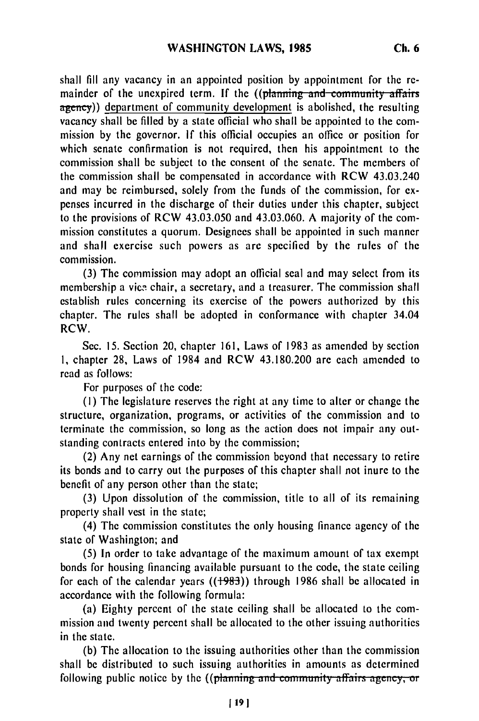shall fill any vacancy in an appointed position **by** appointment for the remainder of the unexpired term. If the ((planning and community affairs agency)) department of community development is abolished, the resulting vacancy shall be filled by a state official who shall be appointed to the commission by the governor. **If** this official occupies an office or position for which senate confirmation is not required, then his appointment to the commission shall be subject to the consent of the senate. The members of the commission shall be compensated in accordance with RCW 43.03.240 and may be reimbursed, solely from the funds of the commission, for expenses incurred in the discharge of their duties under this chapter, subject to the provisions of RCW 43.03.050 and 43.03.060. A majority of the commission constitutes a quorum. Designees shall be appointed in such manner and shall exercise such powers as are specified by the rules of the commission.

(3) The commission may adopt an official seal and may select from its membership a vice chair, a secretary, and a treasurer. The commission shall establish rules concerning its exercise of the powers authorized by this chapter. The rules shall be adopted in conformance with chapter 34.04 RCW.

Sec. 15. Section 20, chapter 161, Laws of 1983 as amended by section I, chapter 28, Laws of 1984 and RCW 43.180.200 are each amended to read as follows:

For purposes of the code:

(I) The legislature reserves the right at any time to alter or change the structure, organization, programs, or activities of the commission and to terminate the commission, so long as the action does not impair any outstanding contracts entered into by the commission;

(2) Any net earnings of the commission beyond that necessary to retire its bonds and to carry out the purposes of this chapter shall not inure to the benefit of any person other than the state;

(3) Upon dissolution of the commission, title to all of its remaining property shall vest in the state;

(4) The commission constitutes the only housing finance agency of the state of Washington; and

(5) In order to take advantage of the maximum amount of tax exempt bonds for housing financing available pursuant to the code, the state ceiling for each of the calendar years  $((1983))$  through 1986 shall be allocated in accordance with the following formula:

(a) Eighty percent of the state ceiling shall be allocated to the commission and twenty percent shall be allocated to the other issuing authorities in the state.

(b) The allocation to the issuing authorities other than the commission shall be distributed to such issuing authorities in amounts as determined following public notice by the  $((\text{planning and community affairs agency}, \text{or}$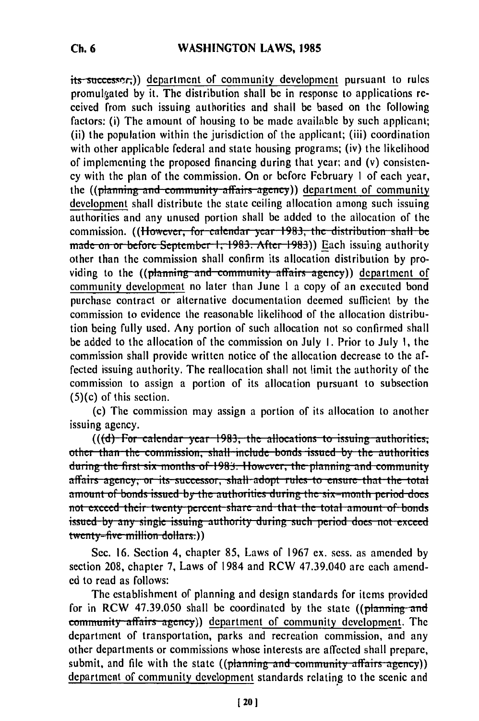its successer,)) department of community development pursuant to rules promulgated by it. The distribution shall be in response to applications received from such issuing authorities and shall be based on the following factors: (i) The amount of housing to be made available by such applicant; (ii) the population within the jurisdiction of the applicant; (iii) coordination with other applicable federal and state housing programs; (iv) the likelihood of implementing the proposed financing during that year; and (v) consistency with the plan **of** the commission. On or before February I of each year, the ((planning and community affairs agency)) department of community development shall distribute the state ceiling allocation among such issuing authorities and any unused portion shall be added to the allocation of the commission. **((However, for calendar year. 1983, the distribution shall be** made on or before September 1, 1983. After 1983)) Each issuing authority other than the commission shall confirm its allocation distribution by providing to the ((planning and community affairs agency)) department of community development no later than June 1 a copy of an executed bond purchase contract or alternative documentation deemed sufficient by the commission to evidence the reasonable likelihood of the allocation distribution being fully used. Any portion of such allocation not so confirmed shall be added to the allocation of the commission on July I. Prior to July **1,** the commission shall provide written notice of the allocation decrease to the affected issuing authority. The reallocation shall not limit the authority of the commission to assign a portion of its allocation pursuant to subsection (5)(c) of this section.

(c) The commission may assign a portion of its allocation to another issuing agency.<br>(((<del>d) For calendar year 1983, the allocations to issuing authorities,</del>

other than the commission, shall include bonds issued by the authorities during the first six months of 1983. However, the planning and community affairs agency, or its successor, shall adopt rules to ensure that the total amount of bonds issued by the authorities during the six-month period does not exceed their twenty percent share and that the total amount of bonds issued by any single issuing authority during such period does not exceed twenty-five million dollars.))

Sec. 16. Section 4, chapter 85, Laws of 1967 ex. sess. as amended by section 208, chapter 7, Laws of 1984 and RCW 47.39.040 are each amended to read as follows:

The establishment of planning and design standards for items provided for in RCW 47.39.050 shall be coordinated by the state ((planning and **community affairs agency))** department of community development. The department of transportation, parks and recreation commission, and any other departments or commissions whose interests are affected shall prepare, submit, and file with the state (( $phanning$  and community affairs agency)) department of community development standards relating to the scenic and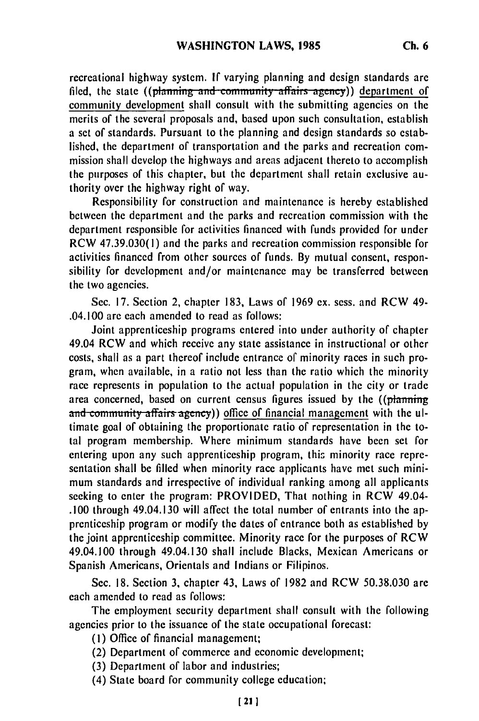recreational highway system. If varying planning and design standards are filed, the state ((planning and community affairs agency)) department of community development shall consult with the submitting agencies on the merits of the several proposals and, based upon such consultation, establish a set of standards. Pursuant to the planning and design standards so established, the department of transportation and the parks and recreation commission shall develop the highways and areas adjacent thereto to accomplish the purposes of this chapter, but the department shall retain exclusive authority over the highway right of way.

Responsibility for construction and maintenance is hereby established between the department and the parks and recreation commission with the department responsible for activities financed with funds provided for under RCW 47.39.030(1) and the parks and recreation commission responsible for activities financed from other sources of funds. **By** mutual consent, responsibility for development and/or maintenance may be transferred between the two agencies.

Sec. 17. Section 2, chapter 183, Laws of 1969 ex. sess. and RCW 49- .04.100 are each amended to read as follows:

Joint apprenticeship programs entered into under authority of chapter 49.04 RCW and which receive any state assistance in instructional or other costs, shall as a part thereof include entrance of minority races in such program, when available, in a ratio not less than the ratio which the minority race represents in population to the actual population in the city or trade area concerned, based on current census figures issued by the ((plaming and community affairs agency)) office of financial management with the ultimate goal of obtaining the proportionate ratio of representation in the total program membership. Where minimum standards have been set for entering upon any such apprenticeship program, this minority race representation shall be filled when minority race applicants have met such minimum standards and irrespective of individual ranking among all applicants seeking to enter the program: PROVIDED, That nothing in RCW 49.04- .100 through 49.04.130 will affect the total number of entrants into the apprenticeship program or modify the dates of entrance both as established by the joint apprenticeship committee. Minority race for the purposes of RCW 49.04.100 through 49.04.130 shall include Blacks, Mexican Americans or Spanish Americans, Orientals and Indians or Filipinos.

Sec. 18. Section 3, chapter 43, Laws of 1982 and RCW 50.38.030 are each amended to read as follows:

The employment security department shall consult with the following agencies prior to the issuance of the state occupational forecast:

- **(1)** Office of financial management;
- (2) Department of commerce and economic development;
- (3) Department of labor and industries;
- (4) State board for community college education;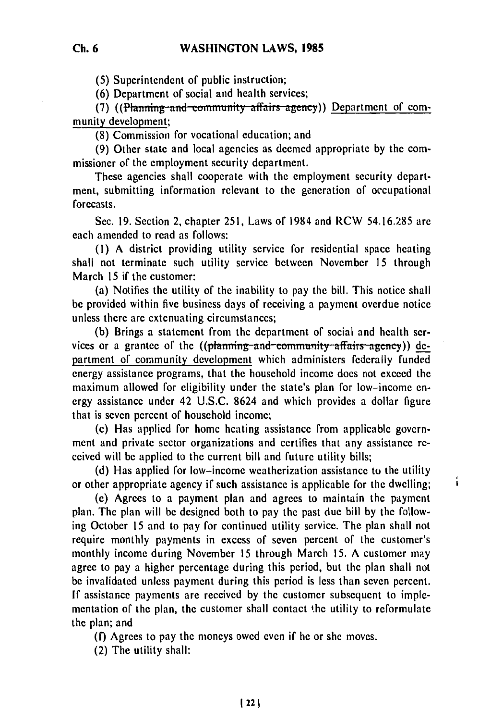**(5)** Superintendent of public instruction;

**(6)** Department of social and health services;

(7) ((Planning and community affairs agency)) Department of community development;

**(8)** Commission for vocational education; and

(9) Other state and local agencies as deemed appropriate by the commissioner of the employment security department.

These agencies shall cooperate with the employment security department, submitting information relevant to the generation of occupational forecasts.

Sec. 19. Section 2, chapter 251, Laws of 1984 and RCW 54.16.285 are each amended to read as follows:

(i) A district providing utility service for residential space heating shall not terminate such utility service between November 15 through March 15 if the customer:

(a) Notifies the utility of the inability to pay the bill. This notice shall be provided within five business days of receiving a payment overdue notice unless there arc extenuating circumstances;

(b) Brings a statement from the department of social and health services or a grantee of the ((planning-and community affairs agency)) department of community development which administers federally funded energy assistance programs, that the household income does not exceed the maximum allowed for eligibility under the state's plan for low-income energy assistance under 42 U.S.C. 8624 and which provides a dollar figure that is seven percent of household income;

(c) Has applied for home heating assistance from applicable government and private sector organizations and certifies that any assistance received will be applied to the current bill and future utility bills;

(d) Has applied for low-income weatherization assistance to the utility or other appropriate agency if such assistance is applicable for the dwelling;

í

(e) Agrees to a payment plan and agrees to maintain the payment plan. The plan will be designed both to pay the past due bill by the following October 15 and to pay for continued utility service. The plan shall not require monthly payments in excess of seven percent of the customer's monthly income during November 15 through March 15. A customer may agree to pay a higher percentage during this period, but the plan shall not be invalidated unless payment during this period is less than seven percent. If assistance payments are received by the customer subsequent to implementation of the plan, the customer shall contact the utility to reformulate the plan; and

**(f)** Agrees to pay the moneys owed even if he or she moves.

(2) The utility shall: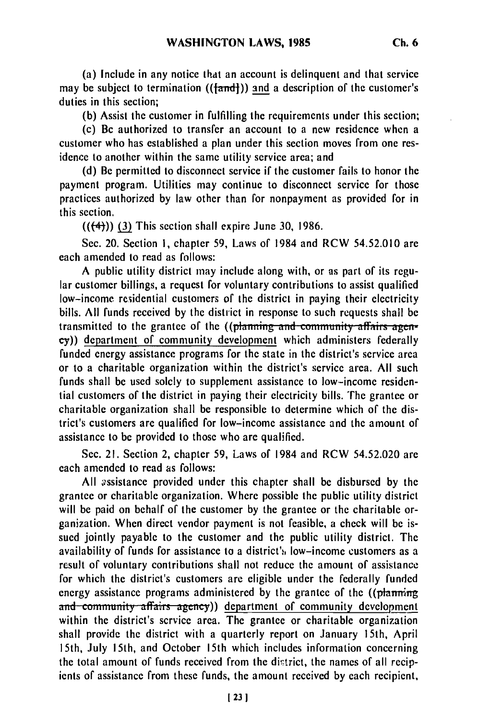(a) Include in any notice that an account is delinquent and that service may be subject to termination  $((\text{fand}))$  and a description of the customer's duties in this section;

**(b)** Assist the customer in fulfilling the requirements under this section;

(c) Bc authorized to transfer an account to a new residence when a customer who has established a plan under this section moves from one residence to another within the same utility service area; and

**(d)** Be permitted to disconnect service if the customer fails to honor the payment program. Utilities may continue to disconnect service for those practices authorized **by** law other than for nonpayment as provided for in this section.

**(((4))) (3)** This section shall expire June **30, 1986.**

Sec. 20. Section **1,** chapter **59,** Laws of 1984 and RCW 54.52.010 **are** each amended to read as follows:

**A** public utility district may include along with, or as part of its regular customer billings, a request for voluntary contributions to assist qualified low-income residential customers of the district in paying their electricity bills. All funds received by the district in response to such requests shall be transmitted to the grantee of the ((planning and community affairs agency)) department of community development which administers federally funded energy assistance programs for the state in the district's service area or to a charitable organization within the district's service area. All such funds shall be used solely to supplement assistance to low-income residential customers of the district in paying their electricity bills. The grantee or charitable organization shall be responsible to determine which of the district's customers are qualified for low-income assistance and the amount of assistance to be provided to those who are qualified.

Sec. 21. Section 2, chapter 59, Laws of 1984 and RCW 54.52.020 are each amended to read as follows:

All ossistance provided under this chapter shall be disbursed by the grantee or charitable organization. Where possible the public utility district will be paid on behalf of the customer by the grantee or the charitable organization. When direct vendor payment is not feasible, a check will be issued jointly payable to the customer and the public utility district. The availability of funds for assistance to a district's low-income customers as a result of voluntary contributions shall not reduce the amount of assistance for which the district's customers are eligible under the federally funded energy assistance programs administered by the grantee of the  $((\text{planning})$ and community affairs agency)) department of community development within the district's service area. The grantee or charitable organization shall provide the district with a quarterly report on January 15th, April 15th, July 15th, and October 15th which includes information concerning the total amount of funds received from the district, the names of all recipients of assistance from these funds, the amount received by each recipient,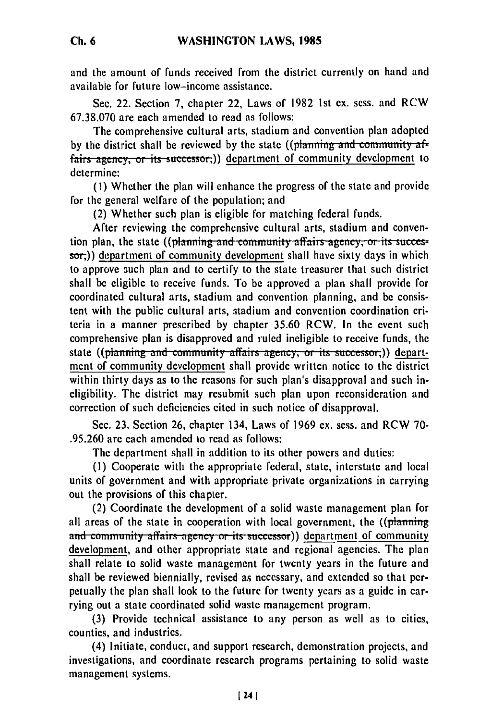and the amount of funds received from the district currently on hand and available for future low-income assistance.

Sec. 22. Section 7, chapter 22, Laws of 1982 Ist ex. sess. and RCW 67.38.070 are each amended to read as follows:

The comprehensive cultural arts, stadium and convention plan adopted **by the district shall be reviewed by the state ((planning and community af**fairs agency, or its successor;)) department of community development to determine:

**(1)** Whether the plan will enhance the progress of the state and provide for the general welfare of the population; and

(2) Whether such plan is eligible for matching federal funds.

After reviewing the comprehensive cultural arts, stadium and convention plan, the state ((planning and community affairs agency, or its succes**sor;))** department of community development shall have sixty days in which to approve such plan and to certify to the state treasurer that such district shall be eligible to receive funds. To be approved a plan shall provide for coordinated cultural arts, stadium and convention planning, and be consistent with the public cultural arts, stadium and convention coordination criteria in a manner prescribed by chapter 35.60 RCW. In the event such comprehensive plan is disapproved and ruled ineligible to receive funds, the state ((planning and community affairs agency, or its successor,)) department of community development shall provide written notice to the district within thirty days as to the reasons for such plan's disapproval and such ineligibility. The district may resubmit such plan upon reconsideration and correction of such deficiencies cited in such notice of disapproval.

Sec. 23. Section 26, chapter 134, Laws of 1969 ex. sess. and RCW 70- .95.260 are each amended to read as follows:

The department shall in addition to its other powers and duties:

(1) Cooperate with the appropriate federal, state, interstate and local units of government and with appropriate private organizations in carrying out the provisions of this chapter.

(2) Coordinate the development of a solid waste management plan for all areas of the state in cooperation with local government, the ((planning and community affairs agency or its successor)) department of community development, and other appropriate state and regional agencies. The plan shall relate to solid waste management for twenty years in the future and shall be reviewed biennially, revised as necessary, and extended so that perpetually the plan shall look to the future for twenty years as a guide in carrying out a state coordinated solid waste management program.

(3) Provide technical assistance to any person as well as to cities, counties, and industries.

(4) Initiate, conduct, and support research, demonstration projects, and investigations, and coordinate research programs pertaining to solid waste management systems.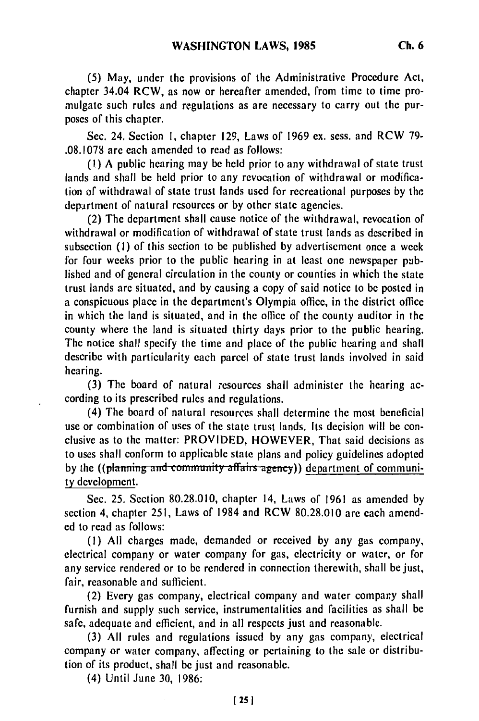**(5)** May, under the provisions of the Administrative Procedure Act, chapter 34.04 RCW, as now or hereafter amended, from time to time promulgate such rules and regulations as are necessary to carry out the purposes of this chapter.

Sec. 24. Section **1,** chapter 129, Laws of 1969 ex. sess. and RCW **79-** .08.1078 are each amended to read as follows:

**(I)** A public hearing may be held prior to any withdrawal of state trust lands and shall be held prior to any revocation of withdrawal or modification of withdrawal of state trust lands used for recreational purposes by the department of natural resources or by other state agencies.

(2) The department shall cause notice of the withdrawal, revocation of withdrawal or modification of withdrawal of state trust lands as described in subsection (I) of this section to be published by advertisement once a week for four weeks prior to the public hearing in at least one newspaper **pub**lished and of general circulation in the county or counties in which the state trust lands are situated, and by causing a copy of said notice to be posted in a conspicuous place in the department's Olympia office, in the district office in which the land is situated, and in the office of the county auditor in the county where the land is situated thirty days prior to the public hearing. The notice shall specify the time and place of the public hearing and shall describe with particularity each parcel of state trust lands involved in said hearing.

(3) The board of natural resources shall administer the hearing according to its prescribed rules and regulations.

(4) The board of natural resources shall determine the most beneficial use or combination of uses of the state trust lands. Its decision will be conclusive as to the matter: PROVIDED, HOWEVER, That said decisions as to uses shall conform to applicable state plans and policy guidelines adopted by the ((planning and community affairs agency)) department of communi**ty** development.

Sec. 25. Section 80.28.010, chapter 14, Laws of 1961 as amended **by** section 4, chapter 251, Laws of 1984 and RCW 80.28.010 are each amended to read as follows:

**(1)** All charges made, demanded or received by any gas company, electrical company or water company for gas, electricity or water, or for any service rendered or to be rendered in connection therewith, shall be just, fair, reasonable and sufficient.

(2) Every gas company, electrical company and water company shall furnish and supply such service, instrumentalities and facilities as shall be safe, adequate and efficient, and in all respects just and reasonable.

(3) All rules and regulations issued by any gas company, electrical company or water company, affecting or pertaining to the sale or distribution of its product, shall be just and reasonable.

(4) Until June 30, 1986: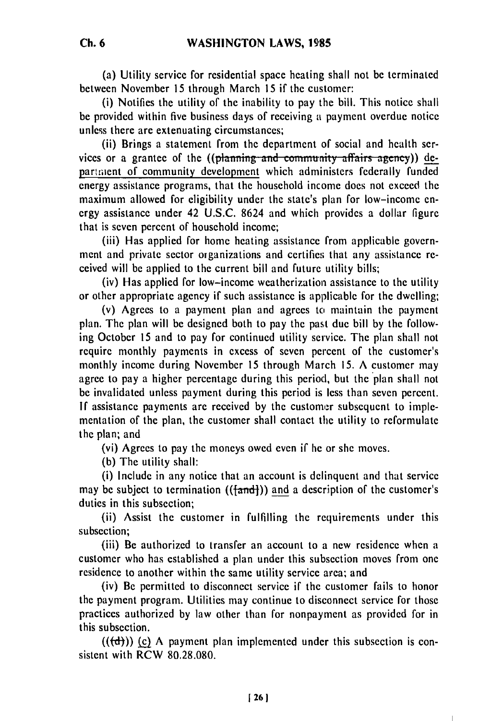(a) Utility service for residential space heating shall not be terminated between November 15 through March 15 if the customer:

(i) Notifies the utility of the inability to pay the bill. This notice shall be provided within five business days of receiving a payment overdue notice unless there are extenuating circumstances;

(ii) Brings a statement from the department of social and health services or a grantee of the ((planning and community affairs agency)) depariment of community development which administers federally funded energy assistance programs, that the household income does not exceed the maximum allowed for eligibility under the state's plan for low-income energy assistance under 42 U.S.C. 8624 and which provides a dollar figure that is seven percent of household income;

(iii) Has applied for home heating assistance from applicable government and private sector organizations and certifies that any assistance received will be applied to the current bill and future utility bills;

(iv) Has applied for low-income weatherization assistance to the utility or other appropriate agency if such assistance is applicable for the dwelling;

(v) Agrees to a payment plan and agrees to maintain the payment plan. The plan will be designed both to pay the past due bill by the following October 15 and to pay for continued utility service. The plan shall not require monthly payments in excess of seven percent of the customer's monthly income during November 15 through March 15. A customer may agree to pay a higher percentage during this period, but the plan shall not be invalidated unless payment during this period is less than seven percent. If assistance payments are received by the customer subsequent to implementation of the plan, the customer shall contact the utility to reformulate the plan; and

(vi) Agrees to pay the moneys owed even if he or she moves.

(b) The utility shall:

(i) Include in any notice that an account is delinquent and that service may be subject to termination  $((\text{fand})$ ) and a description of the customer's duties in this subsection;

(ii) Assist the customer in fulfilling the requirements under this subsection;

(iii) Be authorized to transfer an account to a new residence when a customer who has established a plan under this subsection moves from one residence to another within the same utility service area; and

(iv) Be permitted to disconnect service if the customer fails to honor the payment program. Utilities may continue to disconnect service for those practices authorized by law other than for nonpayment as provided for in this subsection.

 $((\text{d}))$  (c) A payment plan implemented under this subsection is consistent with RCW 80.28.080.